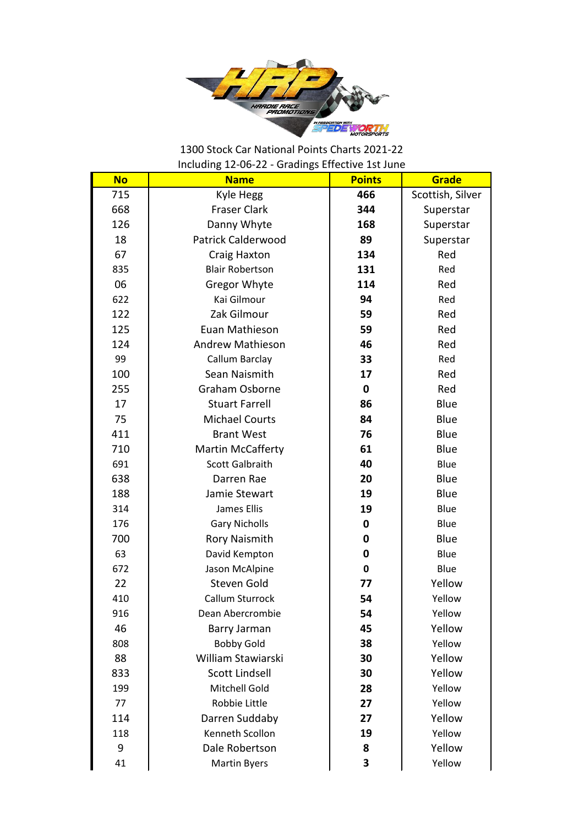

## 1300 Stock Car National Points Charts 2021-22 Including 12-06-22 - Gradings Effective 1st June

| <b>No</b> | <b>Name</b>               | <b>Points</b> | Grade            |
|-----------|---------------------------|---------------|------------------|
| 715       | Kyle Hegg                 | 466           | Scottish, Silver |
| 668       | <b>Fraser Clark</b>       | 344           | Superstar        |
| 126       | Danny Whyte               | 168           | Superstar        |
| 18        | <b>Patrick Calderwood</b> | 89            | Superstar        |
| 67        | Craig Haxton              | 134           | Red              |
| 835       | <b>Blair Robertson</b>    | 131           | Red              |
| 06        | Gregor Whyte              | 114           | Red              |
| 622       | Kai Gilmour               | 94            | Red              |
| 122       | Zak Gilmour               | 59            | Red              |
| 125       | Euan Mathieson            | 59            | Red              |
| 124       | Andrew Mathieson          | 46            | Red              |
| 99        | Callum Barclay            | 33            | Red              |
| 100       | Sean Naismith             | 17            | Red              |
| 255       | Graham Osborne            | 0             | Red              |
| 17        | <b>Stuart Farrell</b>     | 86            | Blue             |
| 75        | <b>Michael Courts</b>     | 84            | Blue             |
| 411       | <b>Brant West</b>         | 76            | Blue             |
| 710       | <b>Martin McCafferty</b>  | 61            | Blue             |
| 691       | Scott Galbraith           | 40            | Blue             |
| 638       | Darren Rae                | 20            | Blue             |
| 188       | Jamie Stewart             | 19            | Blue             |
| 314       | James Ellis               | 19            | Blue             |
| 176       | <b>Gary Nicholls</b>      | 0             | Blue             |
| 700       | <b>Rory Naismith</b>      | 0             | Blue             |
| 63        | David Kempton             | 0             | Blue             |
| 672       | Jason McAlpine            | $\mathbf 0$   | Blue             |
| 22        | Steven Gold               | 77            | Yellow           |
| 410       | Callum Sturrock           | 54            | Yellow           |
| 916       | Dean Abercrombie          | 54            | Yellow           |
| 46        | Barry Jarman              | 45            | Yellow           |
| 808       | <b>Bobby Gold</b>         | 38            | Yellow           |
| 88        | William Stawiarski        | 30            | Yellow           |
| 833       | <b>Scott Lindsell</b>     | 30            | Yellow           |
| 199       | Mitchell Gold             | 28            | Yellow           |
| 77        | Robbie Little             | 27            | Yellow           |
| 114       | Darren Suddaby            | 27            | Yellow           |
| 118       | Kenneth Scollon           | 19            | Yellow           |
| 9         | Dale Robertson            | 8             | Yellow           |
| 41        | <b>Martin Byers</b>       | 3             | Yellow           |